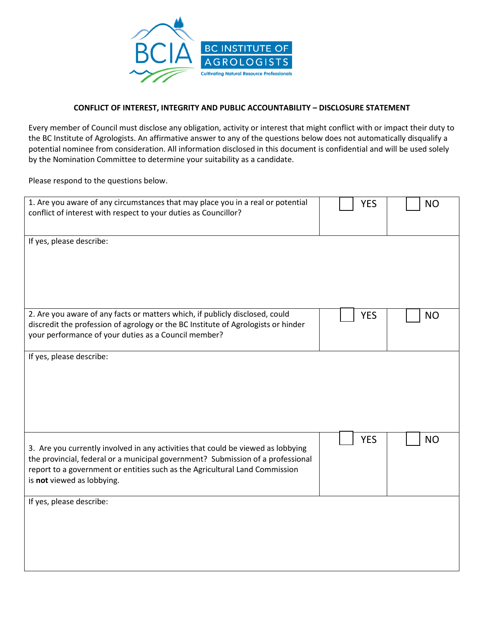

## **CONFLICT OF INTEREST, INTEGRITY AND PUBLIC ACCOUNTABILITY – DISCLOSURE STATEMENT**

Every member of Council must disclose any obligation, activity or interest that might conflict with or impact their duty to the BC Institute of Agrologists. An affirmative answer to any of the questions below does not automatically disqualify a potential nominee from consideration. All information disclosed in this document is confidential and will be used solely by the Nomination Committee to determine your suitability as a candidate.

Please respond to the questions below.

| 1. Are you aware of any circumstances that may place you in a real or potential<br>conflict of interest with respect to your duties as Councillor?                                                                                                                               | <b>YES</b> | <b>NO</b> |
|----------------------------------------------------------------------------------------------------------------------------------------------------------------------------------------------------------------------------------------------------------------------------------|------------|-----------|
| If yes, please describe:                                                                                                                                                                                                                                                         |            |           |
| 2. Are you aware of any facts or matters which, if publicly disclosed, could<br>discredit the profession of agrology or the BC Institute of Agrologists or hinder<br>your performance of your duties as a Council member?                                                        | <b>YES</b> | <b>NO</b> |
| If yes, please describe:                                                                                                                                                                                                                                                         |            |           |
| 3. Are you currently involved in any activities that could be viewed as lobbying<br>the provincial, federal or a municipal government? Submission of a professional<br>report to a government or entities such as the Agricultural Land Commission<br>is not viewed as lobbying. | <b>YES</b> | <b>NO</b> |
| If yes, please describe:                                                                                                                                                                                                                                                         |            |           |